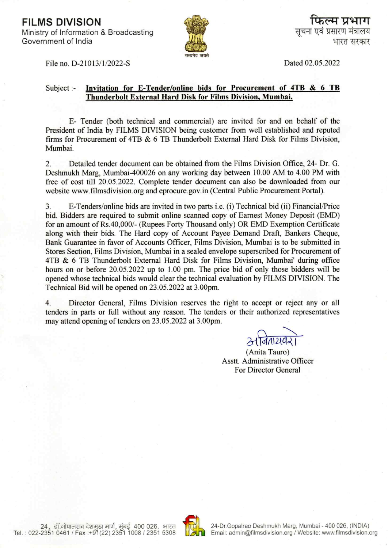**FILMS DIVISION** Ministry of Information & Broadcasting Government of India



Dated 02.05.2022

File no. D-21013/1/2022-S

#### Subject:-Invitation for E-Tender/online bids for Procurement of 4TB & 6 TB Thunderbolt External Hard Disk for Films Division, Mumbai.

E- Tender (both technical and commercial) are invited for and on behalf of the President of India by FILMS DIVISION being customer from well established and reputed firms for Procurement of 4TB & 6 TB Thunderbolt External Hard Disk for Films Division. Mumbai.

 $\overline{2}$ . Detailed tender document can be obtained from the Films Division Office, 24- Dr. G. Deshmukh Marg, Mumbai-400026 on any working day between 10.00 AM to 4.00 PM with free of cost till 20.05.2022. Complete tender document can also be downloaded from our website www.filmsdivision.org and eprocure.gov.in (Central Public Procurement Portal).

E-Tenders/online bids are invited in two parts *i.e.* (*i*) Technical bid (*ii*) Financial/Price 3. bid. Bidders are required to submit online scanned copy of Earnest Money Deposit (EMD) for an amount of Rs.40,000/- (Rupees Forty Thousand only) OR EMD Exemption Certificate along with their bids. The Hard copy of Account Payee Demand Draft, Bankers Cheque, Bank Guarantee in favor of Accounts Officer, Films Division, Mumbai is to be submitted in Stores Section, Films Division, Mumbai in a sealed envelope superscribed for Procurement of 4TB & 6 TB Thunderbolt External Hard Disk for Films Division, Mumbai' during office hours on or before 20.05.2022 up to 1.00 pm. The price bid of only those bidders will be opened whose technical bids would clear the technical evaluation by FILMS DIVISION. The Technical Bid will be opened on 23.05.2022 at 3.00pm.

Director General, Films Division reserves the right to accept or reject any or all  $\overline{4}$ . tenders in parts or full without any reason. The tenders or their authorized representatives may attend opening of tenders on 23.05.2022 at 3.00pm.

(Anita Tauro) Asstt. Administrative Officer **For Director General** 

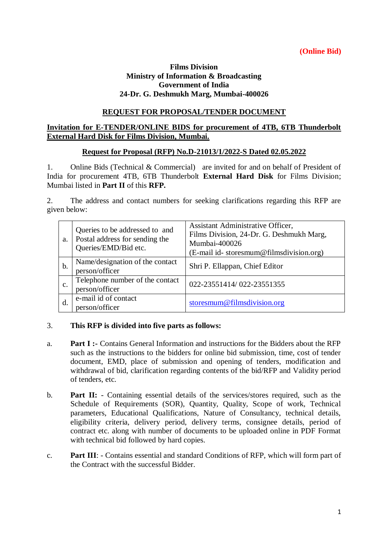### **(Online Bid)**

### **Films Division Ministry of Information & Broadcasting Government of India 24-Dr. G. Deshmukh Marg, Mumbai-400026**

### **REQUEST FOR PROPOSAL/TENDER DOCUMENT**

### **Invitation for E-TENDER/ONLINE BIDS for procurement of 4TB, 6TB Thunderbolt External Hard Disk for Films Division, Mumbai.**

#### **Request for Proposal (RFP) No.D-21013/1/2022-S Dated 02.05.2022**

1. Online Bids (Technical & Commercial) are invited for and on behalf of President of India for procurement 4TB, 6TB Thunderbolt **External Hard Disk** for Films Division; Mumbai listed in **Part II** of this **RFP.**

2. The address and contact numbers for seeking clarifications regarding this RFP are given below:

| a.             | Queries to be addressed to and<br>Postal address for sending the<br>Queries/EMD/Bid etc. | Assistant Administrative Officer,<br>Films Division, 24-Dr. G. Deshmukh Marg,<br>Mumbai-400026<br>(E-mail id-storesmum@filmsdivision.org) |
|----------------|------------------------------------------------------------------------------------------|-------------------------------------------------------------------------------------------------------------------------------------------|
| b.             | Name/designation of the contact<br>person/officer                                        | Shri P. Ellappan, Chief Editor                                                                                                            |
| $\mathbf{c}$ . | Telephone number of the contact<br>person/officer                                        | 022-23551414/022-23551355                                                                                                                 |
| d.             | e-mail id of contact<br>person/officer                                                   | storesmum@filmsdivision.org                                                                                                               |

### 3. **This RFP is divided into five parts as follows:**

- a. **Part I :-** Contains General Information and instructions for the Bidders about the RFP such as the instructions to the bidders for online bid submission, time, cost of tender document, EMD, place of submission and opening of tenders, modification and withdrawal of bid, clarification regarding contents of the bid/RFP and Validity period of tenders, etc.
- b. **Part II:** Containing essential details of the services/stores required, such as the Schedule of Requirements (SOR), Quantity, Quality, Scope of work, Technical parameters, Educational Qualifications, Nature of Consultancy, technical details, eligibility criteria, delivery period, delivery terms, consignee details, period of contract etc. along with number of documents to be uploaded online in PDF Format with technical bid followed by hard copies.
- c. **Part III**: Contains essential and standard Conditions of RFP, which will form part of the Contract with the successful Bidder.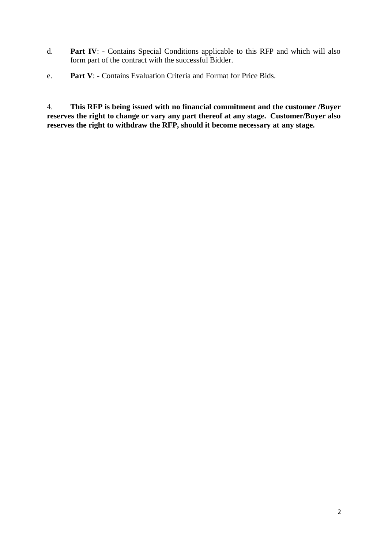- d. **Part IV**: Contains Special Conditions applicable to this RFP and which will also form part of the contract with the successful Bidder.
- e. **Part V**: Contains Evaluation Criteria and Format for Price Bids.

4. **This RFP is being issued with no financial commitment and the customer /Buyer reserves the right to change or vary any part thereof at any stage. Customer/Buyer also reserves the right to withdraw the RFP, should it become necessary at any stage.**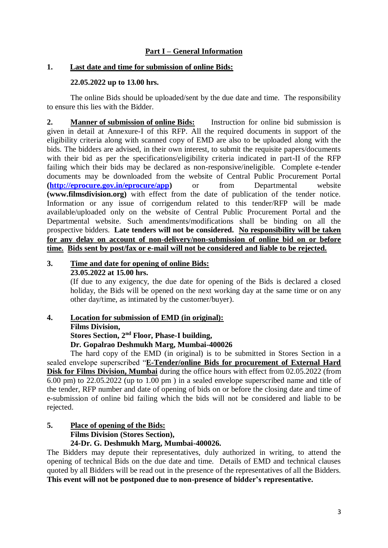### **Part I – General Information**

#### **1. Last date and time for submission of online Bids:**

### **22.05.2022 up to 13.00 hrs.**

The online Bids should be uploaded/sent by the due date and time. The responsibility to ensure this lies with the Bidder.

**2. Manner of submission of online Bids:** Instruction for online bid submission is given in detail at Annexure-I of this RFP. All the required documents in support of the eligibility criteria along with scanned copy of EMD are also to be uploaded along with the bids. The bidders are advised, in their own interest, to submit the requisite papers/documents with their bid as per the specifications/eligibility criteria indicated in part-II of the RFP failing which their bids may be declared as non-responsive/ineligible. Complete e-tender documents may be downloaded from the website of Central Public Procurement Portal **[\(http://eprocure.gov.in/eprocure/app\)](http://eprocure.gov.in/eprocure/app)** or from Departmental website **(www.filmsdivision.org)** with effect from the date of publication of the tender notice. Information or any issue of corrigendum related to this tender/RFP will be made available/uploaded only on the website of Central Public Procurement Portal and the Departmental website. Such amendments/modifications shall be binding on all the prospective bidders. **Late tenders will not be considered. No responsibility will be taken for any delay on account of non-delivery/non-submission of online bid on or before time. Bids sent by post/fax or e-mail will not be considered and liable to be rejected.**

# **3. Time and date for opening of online Bids:**

**23.05.2022 at 15.00 hrs.**

(If due to any exigency, the due date for opening of the Bids is declared a closed holiday, the Bids will be opened on the next working day at the same time or on any other day/time, as intimated by the customer/buyer).

### **4. Location for submission of EMD (in original):**

**Films Division,** 

**Stores Section, 2nd Floor, Phase-I building,** 

**Dr. Gopalrao Deshmukh Marg, Mumbai-400026**

The hard copy of the EMD (in original) is to be submitted in Stores Section in a sealed envelope superscribed "**E-Tender/online Bids for procurement of External Hard Disk for Films Division, Mumbai** during the office hours with effect from 02.05.2022 (from 6.00 pm) to 22.05.2022 (up to 1.00 pm ) in a sealed envelope superscribed name and title of the tender, RFP number and date of opening of bids on or before the closing date and time of e-submission of online bid failing which the bids will not be considered and liable to be rejected.

#### **5. Place of opening of the Bids: Films Division (Stores Section), 24-Dr. G. Deshmukh Marg, Mumbai-400026.**

The Bidders may depute their representatives, duly authorized in writing, to attend the opening of technical Bids on the due date and time. Details of EMD and technical clauses quoted by all Bidders will be read out in the presence of the representatives of all the Bidders. **This event will not be postponed due to non-presence of bidder's representative.**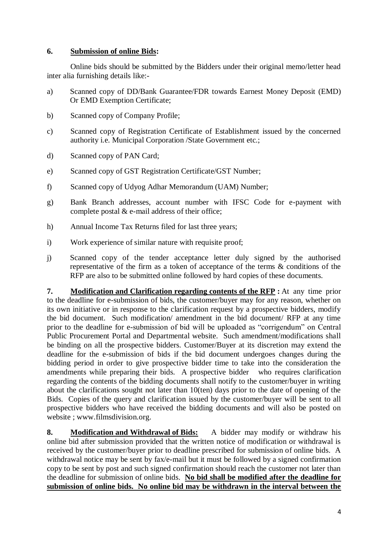### **6. Submission of online Bids:**

Online bids should be submitted by the Bidders under their original memo/letter head inter alia furnishing details like:-

- a) Scanned copy of DD/Bank Guarantee/FDR towards Earnest Money Deposit (EMD) Or EMD Exemption Certificate;
- b) Scanned copy of Company Profile;
- c) Scanned copy of Registration Certificate of Establishment issued by the concerned authority i.e. Municipal Corporation /State Government etc.;
- d) Scanned copy of PAN Card;
- e) Scanned copy of GST Registration Certificate/GST Number;
- f) Scanned copy of Udyog Adhar Memorandum (UAM) Number;
- g) Bank Branch addresses, account number with IFSC Code for e-payment with complete postal  $&$  e-mail address of their office;
- h) Annual Income Tax Returns filed for last three years;
- i) Work experience of similar nature with requisite proof;
- j) Scanned copy of the tender acceptance letter duly signed by the authorised representative of the firm as a token of acceptance of the terms & conditions of the RFP are also to be submitted online followed by hard copies of these documents.

**7. Modification and Clarification regarding contents of the RFP :** At any time prior to the deadline for e-submission of bids, the customer/buyer may for any reason, whether on its own initiative or in response to the clarification request by a prospective bidders, modify the bid document. Such modification/ amendment in the bid document/ RFP at any time prior to the deadline for e-submission of bid will be uploaded as "corrigendum" on Central Public Procurement Portal and Departmental website. Such amendment/modifications shall be binding on all the prospective bidders. Customer/Buyer at its discretion may extend the deadline for the e-submission of bids if the bid document undergoes changes during the bidding period in order to give prospective bidder time to take into the consideration the amendments while preparing their bids. A prospective bidder who requires clarification regarding the contents of the bidding documents shall notify to the customer/buyer in writing about the clarifications sought not later than 10(ten) days prior to the date of opening of the Bids. Copies of the query and clarification issued by the customer/buyer will be sent to all prospective bidders who have received the bidding documents and will also be posted on website ; www.filmsdivision.org.

**8. Modification and Withdrawal of Bids:** A bidder may modify or withdraw his online bid after submission provided that the written notice of modification or withdrawal is received by the customer/buyer prior to deadline prescribed for submission of online bids. A withdrawal notice may be sent by fax/e-mail but it must be followed by a signed confirmation copy to be sent by post and such signed confirmation should reach the customer not later than the deadline for submission of online bids. **No bid shall be modified after the deadline for submission of online bids. No online bid may be withdrawn in the interval between the**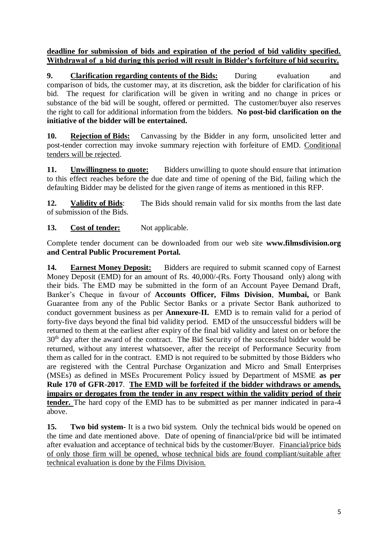**deadline for submission of bids and expiration of the period of bid validity specified. Withdrawal of a bid during this period will result in Bidder's forfeiture of bid security.**

**9. Clarification regarding contents of the Bids:** During evaluation and comparison of bids, the customer may, at its discretion, ask the bidder for clarification of his bid. The request for clarification will be given in writing and no change in prices or substance of the bid will be sought, offered or permitted. The customer/buyer also reserves the right to call for additional information from the bidders. **No post-bid clarification on the initiative of the bidder will be entertained.**

**10. Rejection of Bids:** Canvassing by the Bidder in any form, unsolicited letter and post-tender correction may invoke summary rejection with forfeiture of EMD. Conditional tenders will be rejected.

**11. Unwillingness to quote:** Bidders unwilling to quote should ensure that intimation to this effect reaches before the due date and time of opening of the Bid, failing which the defaulting Bidder may be delisted for the given range of items as mentioned in this RFP.

**12. Validity of Bids**: The Bids should remain valid for six months from the last date of submission of the Bids.

## 13. **Cost of tender:** Not applicable.

Complete tender document can be downloaded from our web site **www.filmsdivision.org and Central Public Procurement Portal.**

**14. Earnest Money Deposit:** Bidders are required to submit scanned copy of Earnest Money Deposit (EMD) for an amount of Rs. 40,000/-(Rs. Forty Thousand only) along with their bids. The EMD may be submitted in the form of an Account Payee Demand Draft, Banker's Cheque in favour of **Accounts Officer, Films Division**, **Mumbai,** or Bank Guarantee from any of the Public Sector Banks or a private Sector Bank authorized to conduct government business as per **Annexure-II.** EMD is to remain valid for a period of forty-five days beyond the final bid validity period. EMD of the unsuccessful bidders will be returned to them at the earliest after expiry of the final bid validity and latest on or before the 30<sup>th</sup> day after the award of the contract. The Bid Security of the successful bidder would be returned, without any interest whatsoever, after the receipt of Performance Security from them as called for in the contract. EMD is not required to be submitted by those Bidders who are registered with the Central Purchase Organization and Micro and Small Enterprises (MSEs) as defined in MSEs Procurement Policy issued by Department of MSME **as per Rule 170 of GFR-2017**. **The EMD will be forfeited if the bidder withdraws or amends, impairs or derogates from the tender in any respect within the validity period of their tender.** The hard copy of the EMD has to be submitted as per manner indicated in para-4 above.

**15. Two bid system-** It is a two bid system. Only the technical bids would be opened on the time and date mentioned above. Date of opening of financial/price bid will be intimated after evaluation and acceptance of technical bids by the customer/Buyer. Financial/price bids of only those firm will be opened, whose technical bids are found compliant/suitable after technical evaluation is done by the Films Division.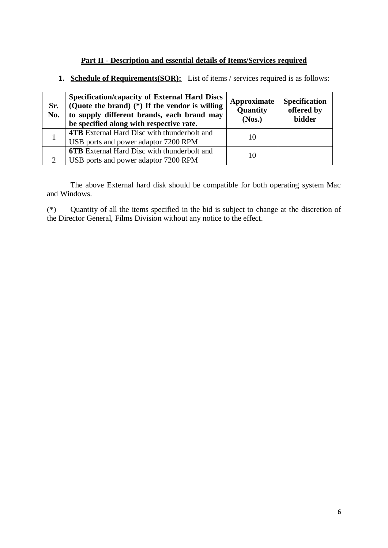### **Part II - Description and essential details of Items/Services required**

**1. Schedule of Requirements(SOR):** List of items / services required is as follows:

| Sr.<br>No. | <b>Specification/capacity of External Hard Discs</b><br>(Quote the brand) $(*)$ If the vendor is willing<br>to supply different brands, each brand may<br>be specified along with respective rate. | Approximate<br>Quantity<br>(Nos.) | <b>Specification</b><br>offered by<br><b>bidder</b> |
|------------|----------------------------------------------------------------------------------------------------------------------------------------------------------------------------------------------------|-----------------------------------|-----------------------------------------------------|
|            | <b>4TB</b> External Hard Disc with thunderbolt and<br>USB ports and power adaptor 7200 RPM                                                                                                         | 10                                |                                                     |
|            | <b>6TB</b> External Hard Disc with thunderbolt and<br>USB ports and power adaptor 7200 RPM                                                                                                         | 10                                |                                                     |

The above External hard disk should be compatible for both operating system Mac and Windows.

(\*) Quantity of all the items specified in the bid is subject to change at the discretion of the Director General, Films Division without any notice to the effect.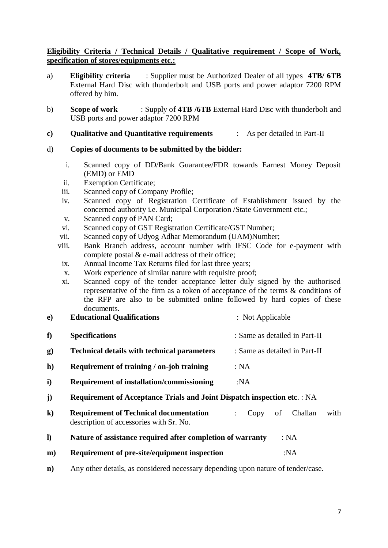### **Eligibility Criteria / Technical Details / Qualitative requirement / Scope of Work, specification of stores/equipments etc.:**

- a) **Eligibility criteria** : Supplier must be Authorized Dealer of all types **4TB/ 6TB** External Hard Disc with thunderbolt and USB ports and power adaptor 7200 RPM offered by him.
- b) **Scope of work** : Supply of **4TB /6TB** External Hard Disc with thunderbolt and USB ports and power adaptor 7200 RPM
- **c) Qualitative and Quantitative requirements** : As per detailed in Part-II

### d) **Copies of documents to be submitted by the bidder:**

- i. Scanned copy of DD/Bank Guarantee/FDR towards Earnest Money Deposit (EMD) or EMD
- ii. Exemption Certificate;
- iii. Scanned copy of Company Profile;
- iv. Scanned copy of Registration Certificate of Establishment issued by the concerned authority i.e. Municipal Corporation /State Government etc.;
- v. Scanned copy of PAN Card;
- vi. Scanned copy of GST Registration Certificate/GST Number;
- vii. Scanned copy of Udyog Adhar Memorandum (UAM)Number;
- viii. Bank Branch address, account number with IFSC Code for e-payment with complete postal  $&$  e-mail address of their office;
- ix. Annual Income Tax Returns filed for last three years;
- x. Work experience of similar nature with requisite proof;
- xi. Scanned copy of the tender acceptance letter duly signed by the authorised representative of the firm as a token of acceptance of the terms & conditions of the RFP are also to be submitted online followed by hard copies of these documents.

| e) | <b>Educational Qualifications</b>                                                        | : Not Applicable              |  |  |  |  |  |
|----|------------------------------------------------------------------------------------------|-------------------------------|--|--|--|--|--|
| f) | <b>Specifications</b>                                                                    | : Same as detailed in Part-II |  |  |  |  |  |
| g) | <b>Technical details with technical parameters</b>                                       | : Same as detailed in Part-II |  |  |  |  |  |
| h) | Requirement of training / on-job training                                                | : NA                          |  |  |  |  |  |
| i) | <b>Requirement of installation/commissioning</b>                                         | :NA                           |  |  |  |  |  |
| j) | <b>Requirement of Acceptance Trials and Joint Dispatch inspection etc.: NA</b>           |                               |  |  |  |  |  |
| k) | <b>Requirement of Technical documentation</b><br>description of accessories with Sr. No. | with<br>Challan<br>of<br>Copy |  |  |  |  |  |

- **l) Nature of assistance required after completion of warranty** : NA
- **m**) **Requirement of pre-site/equipment inspection** :NA
- **n)** Any other details, as considered necessary depending upon nature of tender/case.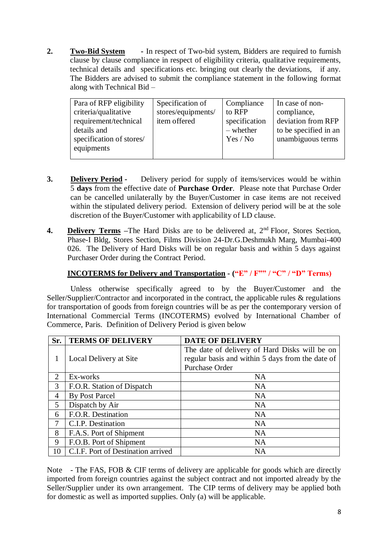**2. Two-Bid System -** In respect of Two-bid system, Bidders are required to furnish clause by clause compliance in respect of eligibility criteria, qualitative requirements, technical details and specifications etc. bringing out clearly the deviations, if any. The Bidders are advised to submit the compliance statement in the following format along with Technical Bid –

| Para of RFP eligibility<br>criteria/qualitative<br>requirement/technical<br>details and<br>specification of stores/ | Specification of<br>stores/equipments/<br>item offered | Compliance<br>to RFP<br>specification<br>$-$ whether<br>Yes / No | In case of non-<br>compliance,<br>deviation from RFP<br>to be specified in an<br>unambiguous terms |
|---------------------------------------------------------------------------------------------------------------------|--------------------------------------------------------|------------------------------------------------------------------|----------------------------------------------------------------------------------------------------|
| equipments                                                                                                          |                                                        |                                                                  |                                                                                                    |

- **3. Delivery Period -** Delivery period for supply of items/services would be within 5 **days** from the effective date of **Purchase Order**. Please note that Purchase Order can be cancelled unilaterally by the Buyer/Customer in case items are not received within the stipulated delivery period. Extension of delivery period will be at the sole discretion of the Buyer/Customer with applicability of LD clause.
- **4. Delivery Terms** –The Hard Disks are to be delivered at, 2<sup>nd</sup> Floor, Stores Section, Phase-I Bldg, Stores Section, Films Division 24-Dr.G.Deshmukh Marg, Mumbai-400 026. The Delivery of Hard Disks will be on regular basis and within 5 days against Purchaser Order during the Contract Period.

### **INCOTERMS for Delivery and Transportation - ("E" / F"" / "C" / "D" Terms)**

Unless otherwise specifically agreed to by the Buyer/Customer and the Seller/Supplier/Contractor and incorporated in the contract, the applicable rules & regulations for transportation of goods from foreign countries will be as per the contemporary version of International Commercial Terms (INCOTERMS) evolved by International Chamber of Commerce, Paris. Definition of Delivery Period is given below

| Sr. | <b>TERMS OF DELIVERY</b>           | <b>DATE OF DELIVERY</b>                          |
|-----|------------------------------------|--------------------------------------------------|
|     |                                    | The date of delivery of Hard Disks will be on    |
| 1   | Local Delivery at Site             | regular basis and within 5 days from the date of |
|     |                                    | Purchase Order                                   |
| 2   | Ex-works                           | <b>NA</b>                                        |
| 3   | F.O.R. Station of Dispatch         | <b>NA</b>                                        |
| 4   | <b>By Post Parcel</b>              | <b>NA</b>                                        |
| 5   | Dispatch by Air                    | <b>NA</b>                                        |
| 6   | F.O.R. Destination                 | <b>NA</b>                                        |
| 7   | C.I.P. Destination                 | <b>NA</b>                                        |
| 8   | F.A.S. Port of Shipment            | <b>NA</b>                                        |
| 9   | F.O.B. Port of Shipment            | <b>NA</b>                                        |
| 10  | C.I.F. Port of Destination arrived | <b>NA</b>                                        |

Note - The FAS, FOB & CIF terms of delivery are applicable for goods which are directly imported from foreign countries against the subject contract and not imported already by the Seller/Supplier under its own arrangement. The CIP terms of delivery may be applied both for domestic as well as imported supplies. Only (a) will be applicable.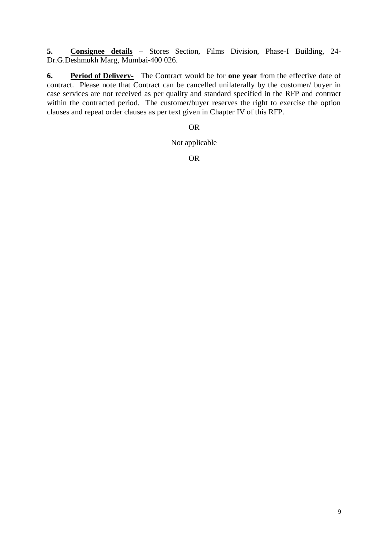**5. Consignee details –** Stores Section, Films Division, Phase-I Building, 24- Dr.G.Deshmukh Marg, Mumbai-400 026.

**6. Period of Delivery-** The Contract would be for **one year** from the effective date of contract. Please note that Contract can be cancelled unilaterally by the customer/ buyer in case services are not received as per quality and standard specified in the RFP and contract within the contracted period. The customer/buyer reserves the right to exercise the option clauses and repeat order clauses as per text given in Chapter IV of this RFP.

### OR

#### Not applicable

OR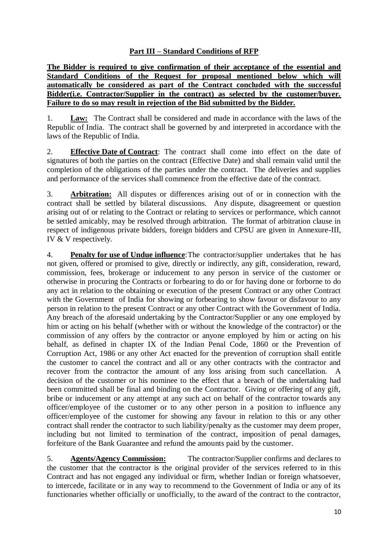### **Part III – Standard Conditions of RFP**

**The Bidder is required to give confirmation of their acceptance of the essential and Standard Conditions of the Request for proposal mentioned below which will automatically be considered as part of the Contract concluded with the successful Bidder(i.e. Contractor/Supplier in the contract) as selected by the customer/buyer. Failure to do so may result in rejection of the Bid submitted by the Bidder.**

1. **Law:** The Contract shall be considered and made in accordance with the laws of the Republic of India. The contract shall be governed by and interpreted in accordance with the laws of the Republic of India.

2. **Effective Date of Contract**: The contract shall come into effect on the date of signatures of both the parties on the contract (Effective Date) and shall remain valid until the completion of the obligations of the parties under the contract. The deliveries and supplies and performance of the services shall commence from the effective date of the contract.

3. **Arbitration:** All disputes or differences arising out of or in connection with the contract shall be settled by bilateral discussions. Any dispute, disagreement or question arising out of or relating to the Contract or relating to services or performance, which cannot be settled amicably, may be resolved through arbitration. The format of arbitration clause in respect of indigenous private bidders, foreign bidders and CPSU are given in Annexure-III, IV & V respectively.

4. **Penalty for use of Undue influence**:The contractor/supplier undertakes that he has not given, offered or promised to give, directly or indirectly, any gift, consideration, reward, commission, fees, brokerage or inducement to any person in service of the customer or otherwise in procuring the Contracts or forbearing to do or for having done or forborne to do any act in relation to the obtaining or execution of the present Contract or any other Contract with the Government of India for showing or forbearing to show favour or disfavour to any person in relation to the present Contract or any other Contract with the Government of India. Any breach of the aforesaid undertaking by the Contractor/Supplier or any one employed by him or acting on his behalf (whether with or without the knowledge of the contractor) or the commission of any offers by the contractor or anyone employed by him or acting on his behalf, as defined in chapter IX of the Indian Penal Code, 1860 or the Prevention of Corruption Act, 1986 or any other Act enacted for the prevention of corruption shall entitle the customer to cancel the contract and all or any other contracts with the contractor and recover from the contractor the amount of any loss arising from such cancellation. A decision of the customer or his nominee to the effect that a breach of the undertaking had been committed shall be final and binding on the Contractor. Giving or offering of any gift, bribe or inducement or any attempt at any such act on behalf of the contractor towards any officer/employee of the customer or to any other person in a position to influence any officer/employee of the customer for showing any favour in relation to this or any other contract shall render the contractor to such liability/penalty as the customer may deem proper, including but not limited to termination of the contract, imposition of penal damages, forfeiture of the Bank Guarantee and refund the amounts paid by the customer.

5. **Agents/Agency Commission:** The contractor/Supplier confirms and declares to the customer that the contractor is the original provider of the services referred to in this Contract and has not engaged any individual or firm, whether Indian or foreign whatsoever, to intercede, facilitate or in any way to recommend to the Government of India or any of its functionaries whether officially or unofficially, to the award of the contract to the contractor,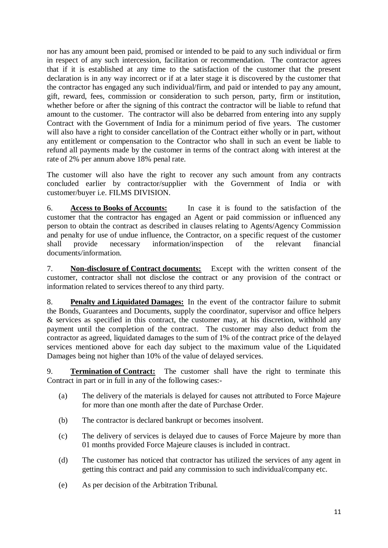nor has any amount been paid, promised or intended to be paid to any such individual or firm in respect of any such intercession, facilitation or recommendation. The contractor agrees that if it is established at any time to the satisfaction of the customer that the present declaration is in any way incorrect or if at a later stage it is discovered by the customer that the contractor has engaged any such individual/firm, and paid or intended to pay any amount, gift, reward, fees, commission or consideration to such person, party, firm or institution, whether before or after the signing of this contract the contractor will be liable to refund that amount to the customer. The contractor will also be debarred from entering into any supply Contract with the Government of India for a minimum period of five years. The customer will also have a right to consider cancellation of the Contract either wholly or in part, without any entitlement or compensation to the Contractor who shall in such an event be liable to refund all payments made by the customer in terms of the contract along with interest at the rate of 2% per annum above 18% penal rate.

The customer will also have the right to recover any such amount from any contracts concluded earlier by contractor/supplier with the Government of India or with customer/buyer i.e. FILMS DIVISION.

6. **Access to Books of Accounts:** In case it is found to the satisfaction of the customer that the contractor has engaged an Agent or paid commission or influenced any person to obtain the contract as described in clauses relating to Agents/Agency Commission and penalty for use of undue influence, the Contractor, on a specific request of the customer shall provide necessary information/inspection of the relevant financial documents/information.

7. **Non-disclosure of Contract documents:** Except with the written consent of the customer, contractor shall not disclose the contract or any provision of the contract or information related to services thereof to any third party.

8. **Penalty and Liquidated Damages:** In the event of the contractor failure to submit the Bonds, Guarantees and Documents, supply the coordinator, supervisor and office helpers & services as specified in this contract, the customer may, at his discretion, withhold any payment until the completion of the contract. The customer may also deduct from the contractor as agreed, liquidated damages to the sum of 1% of the contract price of the delayed services mentioned above for each day subject to the maximum value of the Liquidated Damages being not higher than 10% of the value of delayed services.

9. **Termination of Contract:** The customer shall have the right to terminate this Contract in part or in full in any of the following cases:-

- (a) The delivery of the materials is delayed for causes not attributed to Force Majeure for more than one month after the date of Purchase Order.
- (b) The contractor is declared bankrupt or becomes insolvent.
- (c) The delivery of services is delayed due to causes of Force Majeure by more than 01 months provided Force Majeure clauses is included in contract.
- (d) The customer has noticed that contractor has utilized the services of any agent in getting this contract and paid any commission to such individual/company etc.
- (e) As per decision of the Arbitration Tribunal.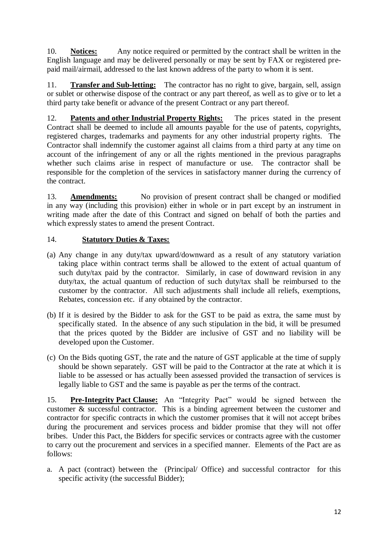10. **Notices:** Any notice required or permitted by the contract shall be written in the English language and may be delivered personally or may be sent by FAX or registered prepaid mail/airmail, addressed to the last known address of the party to whom it is sent.

11. **Transfer and Sub-letting:** The contractor has no right to give, bargain, sell, assign or sublet or otherwise dispose of the contract or any part thereof, as well as to give or to let a third party take benefit or advance of the present Contract or any part thereof.

12. **Patents and other Industrial Property Rights:** The prices stated in the present Contract shall be deemed to include all amounts payable for the use of patents, copyrights, registered charges, trademarks and payments for any other industrial property rights. The Contractor shall indemnify the customer against all claims from a third party at any time on account of the infringement of any or all the rights mentioned in the previous paragraphs whether such claims arise in respect of manufacture or use. The contractor shall be responsible for the completion of the services in satisfactory manner during the currency of the contract.

13. **Amendments:** No provision of present contract shall be changed or modified in any way (including this provision) either in whole or in part except by an instrument in writing made after the date of this Contract and signed on behalf of both the parties and which expressly states to amend the present Contract.

### 14. **Statutory Duties & Taxes:**

- (a) Any change in any duty/tax upward/downward as a result of any statutory variation taking place within contract terms shall be allowed to the extent of actual quantum of such duty/tax paid by the contractor. Similarly, in case of downward revision in any duty/tax, the actual quantum of reduction of such duty/tax shall be reimbursed to the customer by the contractor. All such adjustments shall include all reliefs, exemptions, Rebates, concession etc. if any obtained by the contractor.
- (b) If it is desired by the Bidder to ask for the GST to be paid as extra, the same must by specifically stated. In the absence of any such stipulation in the bid, it will be presumed that the prices quoted by the Bidder are inclusive of GST and no liability will be developed upon the Customer.
- (c) On the Bids quoting GST, the rate and the nature of GST applicable at the time of supply should be shown separately. GST will be paid to the Contractor at the rate at which it is liable to be assessed or has actually been assessed provided the transaction of services is legally liable to GST and the same is payable as per the terms of the contract.

15. **Pre-Integrity Pact Clause:** An "Integrity Pact" would be signed between the customer & successful contractor. This is a binding agreement between the customer and contractor for specific contracts in which the customer promises that it will not accept bribes during the procurement and services process and bidder promise that they will not offer bribes. Under this Pact, the Bidders for specific services or contracts agree with the customer to carry out the procurement and services in a specified manner. Elements of the Pact are as follows:

a. A pact (contract) between the (Principal/ Office) and successful contractor for this specific activity (the successful Bidder);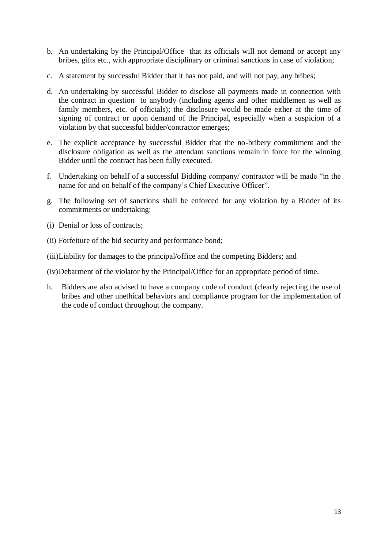- b. An undertaking by the Principal/Office that its officials will not demand or accept any bribes, gifts etc., with appropriate disciplinary or criminal sanctions in case of violation;
- c. A statement by successful Bidder that it has not paid, and will not pay, any bribes;
- d. An undertaking by successful Bidder to disclose all payments made in connection with the contract in question to anybody (including agents and other middlemen as well as family members, etc. of officials); the disclosure would be made either at the time of signing of contract or upon demand of the Principal, especially when a suspicion of a violation by that successful bidder/contractor emerges;
- e. The explicit acceptance by successful Bidder that the no-bribery commitment and the disclosure obligation as well as the attendant sanctions remain in force for the winning Bidder until the contract has been fully executed.
- f. Undertaking on behalf of a successful Bidding company/ contractor will be made "in the name for and on behalf of the company's Chief Executive Officer".
- g. The following set of sanctions shall be enforced for any violation by a Bidder of its commitments or undertaking:
- (i) Denial or loss of contracts;
- (ii) Forfeiture of the bid security and performance bond;
- (iii)Liability for damages to the principal/office and the competing Bidders; and
- (iv)Debarment of the violator by the Principal/Office for an appropriate period of time.
- h. Bidders are also advised to have a company code of conduct (clearly rejecting the use of bribes and other unethical behaviors and compliance program for the implementation of the code of conduct throughout the company.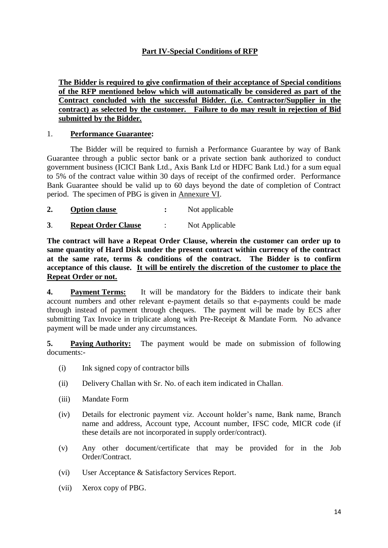### **Part IV-Special Conditions of RFP**

**The Bidder is required to give confirmation of their acceptance of Special conditions of the RFP mentioned below which will automatically be considered as part of the Contract concluded with the successful Bidder. (i.e. Contractor/Supplier in the contract) as selected by the customer. Failure to do may result in rejection of Bid submitted by the Bidder.**

#### 1. **Performance Guarantee:**

The Bidder will be required to furnish a Performance Guarantee by way of Bank Guarantee through a public sector bank or a private section bank authorized to conduct government business (ICICI Bank Ltd., Axis Bank Ltd or HDFC Bank Ltd.) for a sum equal to 5% of the contract value within 30 days of receipt of the confirmed order. Performance Bank Guarantee should be valid up to 60 days beyond the date of completion of Contract period. The specimen of PBG is given in Annexure VI.

- **2. Option clause :** Not applicable
- **3**. **Repeat Order Clause** : Not Applicable

**The contract will have a Repeat Order Clause, wherein the customer can order up to same quantity of Hard Disk under the present contract within currency of the contract at the same rate, terms & conditions of the contract. The Bidder is to confirm acceptance of this clause. It will be entirely the discretion of the customer to place the Repeat Order or not.** 

**4. Payment Terms:** It will be mandatory for the Bidders to indicate their bank account numbers and other relevant e-payment details so that e-payments could be made through instead of payment through cheques. The payment will be made by ECS after submitting Tax Invoice in triplicate along with Pre-Receipt & Mandate Form. No advance payment will be made under any circumstances.

**5. Paying Authority:** The payment would be made on submission of following documents:-

- (i) Ink signed copy of contractor bills
- (ii) Delivery Challan with Sr. No. of each item indicated in Challan.
- (iii) Mandate Form
- (iv) Details for electronic payment viz. Account holder's name, Bank name, Branch name and address, Account type, Account number, IFSC code, MICR code (if these details are not incorporated in supply order/contract).
- (v) Any other document/certificate that may be provided for in the Job Order/Contract.
- (vi) User Acceptance & Satisfactory Services Report.
- (vii) Xerox copy of PBG.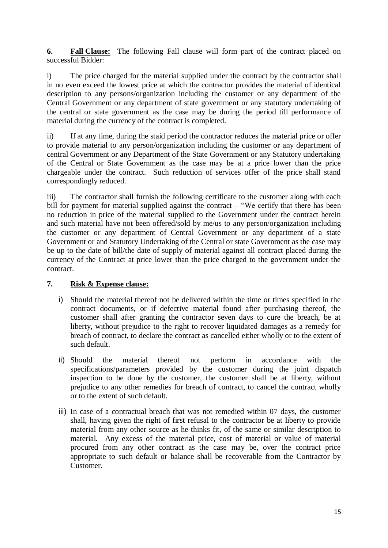**6. Fall Clause:** The following Fall clause will form part of the contract placed on successful Bidder:

i) The price charged for the material supplied under the contract by the contractor shall in no even exceed the lowest price at which the contractor provides the material of identical description to any persons/organization including the customer or any department of the Central Government or any department of state government or any statutory undertaking of the central or state government as the case may be during the period till performance of material during the currency of the contract is completed.

ii) If at any time, during the staid period the contractor reduces the material price or offer to provide material to any person/organization including the customer or any department of central Government or any Department of the State Government or any Statutory undertaking of the Central or State Government as the case may be at a price lower than the price chargeable under the contract. Such reduction of services offer of the price shall stand correspondingly reduced.

iii) The contractor shall furnish the following certificate to the customer along with each bill for payment for material supplied against the contract – "We certify that there has been no reduction in price of the material supplied to the Government under the contract herein and such material have not been offered/sold by me/us to any person/organization including the customer or any department of Central Government or any department of a state Government or and Statutory Undertaking of the Central or state Government as the case may be up to the date of bill/the date of supply of material against all contract placed during the currency of the Contract at price lower than the price charged to the government under the contract.

### **7. Risk & Expense clause:**

- i) Should the material thereof not be delivered within the time or times specified in the contract documents, or if defective material found after purchasing thereof, the customer shall after granting the contractor seven days to cure the breach, be at liberty, without prejudice to the right to recover liquidated damages as a remedy for breach of contract, to declare the contract as cancelled either wholly or to the extent of such default.
- ii) Should the material thereof not perform in accordance with the specifications/parameters provided by the customer during the joint dispatch inspection to be done by the customer, the customer shall be at liberty, without prejudice to any other remedies for breach of contract, to cancel the contract wholly or to the extent of such default.
- iii) In case of a contractual breach that was not remedied within 07 days, the customer shall, having given the right of first refusal to the contractor be at liberty to provide material from any other source as he thinks fit, of the same or similar description to material. Any excess of the material price, cost of material or value of material procured from any other contract as the case may be, over the contract price appropriate to such default or balance shall be recoverable from the Contractor by Customer.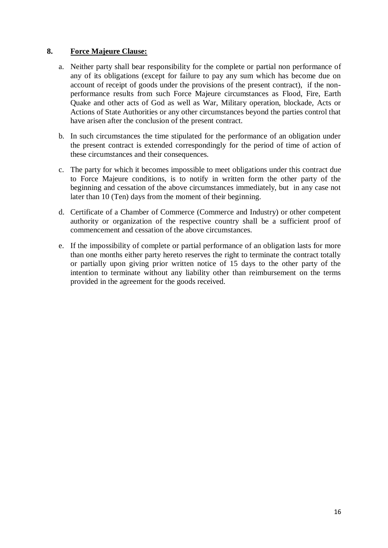### **8. Force Majeure Clause:**

- a. Neither party shall bear responsibility for the complete or partial non performance of any of its obligations (except for failure to pay any sum which has become due on account of receipt of goods under the provisions of the present contract), if the nonperformance results from such Force Majeure circumstances as Flood, Fire, Earth Quake and other acts of God as well as War, Military operation, blockade, Acts or Actions of State Authorities or any other circumstances beyond the parties control that have arisen after the conclusion of the present contract.
- b. In such circumstances the time stipulated for the performance of an obligation under the present contract is extended correspondingly for the period of time of action of these circumstances and their consequences.
- c. The party for which it becomes impossible to meet obligations under this contract due to Force Majeure conditions, is to notify in written form the other party of the beginning and cessation of the above circumstances immediately, but in any case not later than 10 (Ten) days from the moment of their beginning.
- d. Certificate of a Chamber of Commerce (Commerce and Industry) or other competent authority or organization of the respective country shall be a sufficient proof of commencement and cessation of the above circumstances.
- e. If the impossibility of complete or partial performance of an obligation lasts for more than one months either party hereto reserves the right to terminate the contract totally or partially upon giving prior written notice of 15 days to the other party of the intention to terminate without any liability other than reimbursement on the terms provided in the agreement for the goods received.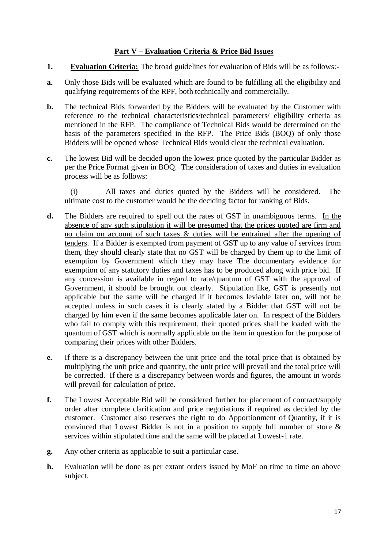### **Part V – Evaluation Criteria & Price Bid Issues**

- **1. Evaluation Criteria:** The broad guidelines for evaluation of Bids will be as follows:-
- **a.** Only those Bids will be evaluated which are found to be fulfilling all the eligibility and qualifying requirements of the RPF, both technically and commercially.
- **b.** The technical Bids forwarded by the Bidders will be evaluated by the Customer with reference to the technical characteristics/technical parameters/ eligibility criteria as mentioned in the RFP. The compliance of Technical Bids would be determined on the basis of the parameters specified in the RFP. The Price Bids (BOQ) of only those Bidders will be opened whose Technical Bids would clear the technical evaluation.
- **c.** The lowest Bid will be decided upon the lowest price quoted by the particular Bidder as per the Price Format given in BOQ. The consideration of taxes and duties in evaluation process will be as follows:

(i) All taxes and duties quoted by the Bidders will be considered. The ultimate cost to the customer would be the deciding factor for ranking of Bids.

- **d.** The Bidders are required to spell out the rates of GST in unambiguous terms. In the absence of any such stipulation it will be presumed that the prices quoted are firm and no claim on account of such taxes & duties will be entrained after the opening of tenders. If a Bidder is exempted from payment of GST up to any value of services from them, they should clearly state that no GST will be charged by them up to the limit of exemption by Government which they may have The documentary evidence for exemption of any statutory duties and taxes has to be produced along with price bid. If any concession is available in regard to rate/quantum of GST with the approval of Government, it should be brought out clearly. Stipulation like, GST is presently not applicable but the same will be charged if it becomes leviable later on, will not be accepted unless in such cases it is clearly stated by a Bidder that GST will not be charged by him even if the same becomes applicable later on. In respect of the Bidders who fail to comply with this requirement, their quoted prices shall be loaded with the quantum of GST which is normally applicable on the item in question for the purpose of comparing their prices with other Bidders.
- **e.** If there is a discrepancy between the unit price and the total price that is obtained by multiplying the unit price and quantity, the unit price will prevail and the total price will be corrected. If there is a discrepancy between words and figures, the amount in words will prevail for calculation of price.
- **f.** The Lowest Acceptable Bid will be considered further for placement of contract/supply order after complete clarification and price negotiations if required as decided by the customer. Customer also reserves the right to do Apportionment of Quantity, if it is convinced that Lowest Bidder is not in a position to supply full number of store & services within stipulated time and the same will be placed at Lowest-1 rate.
- **g.** Any other criteria as applicable to suit a particular case.
- **h.** Evaluation will be done as per extant orders issued by MoF on time to time on above subject.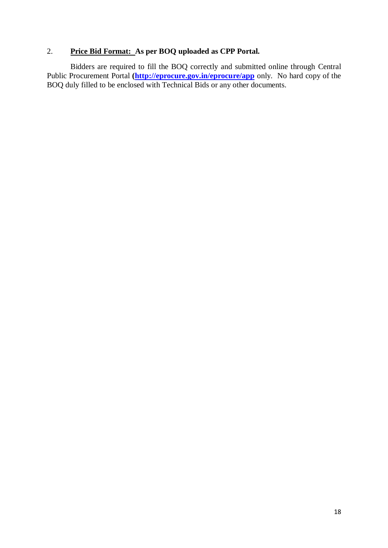### 2. **Price Bid Format: As per BOQ uploaded as CPP Portal.**

Bidders are required to fill the BOQ correctly and submitted online through Central Public Procurement Portal *[\(http://eprocure.gov.in/eprocure/app](http://eprocure.gov.in/eprocure/app)* only. No hard copy of the BOQ duly filled to be enclosed with Technical Bids or any other documents.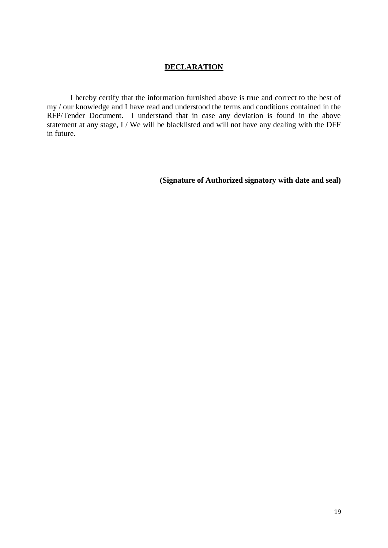### **DECLARATION**

I hereby certify that the information furnished above is true and correct to the best of my / our knowledge and I have read and understood the terms and conditions contained in the RFP/Tender Document. I understand that in case any deviation is found in the above statement at any stage, I / We will be blacklisted and will not have any dealing with the DFF in future.

**(Signature of Authorized signatory with date and seal)**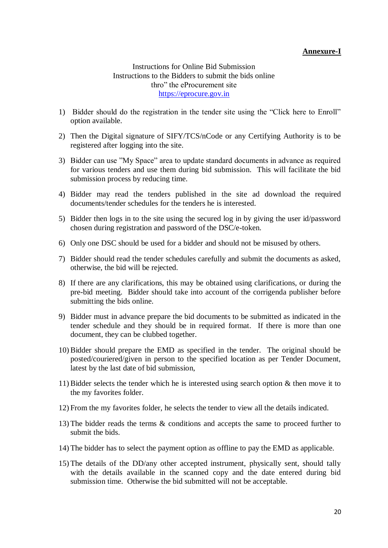### **Annexure-I**

Instructions for Online Bid Submission Instructions to the Bidders to submit the bids online thro" the eProcurement site [https://eprocure.gov.in](https://eprocure.gov.in/)

- 1) Bidder should do the registration in the tender site using the "Click here to Enroll" option available.
- 2) Then the Digital signature of SIFY/TCS/nCode or any Certifying Authority is to be registered after logging into the site.
- 3) Bidder can use "My Space" area to update standard documents in advance as required for various tenders and use them during bid submission. This will facilitate the bid submission process by reducing time.
- 4) Bidder may read the tenders published in the site ad download the required documents/tender schedules for the tenders he is interested.
- 5) Bidder then logs in to the site using the secured log in by giving the user id/password chosen during registration and password of the DSC/e-token.
- 6) Only one DSC should be used for a bidder and should not be misused by others.
- 7) Bidder should read the tender schedules carefully and submit the documents as asked, otherwise, the bid will be rejected.
- 8) If there are any clarifications, this may be obtained using clarifications, or during the pre-bid meeting. Bidder should take into account of the corrigenda publisher before submitting the bids online.
- 9) Bidder must in advance prepare the bid documents to be submitted as indicated in the tender schedule and they should be in required format. If there is more than one document, they can be clubbed together.
- 10) Bidder should prepare the EMD as specified in the tender. The original should be posted/couriered/given in person to the specified location as per Tender Document, latest by the last date of bid submission,
- 11) Bidder selects the tender which he is interested using search option  $\&$  then move it to the my favorites folder.
- 12) From the my favorites folder, he selects the tender to view all the details indicated.
- 13) The bidder reads the terms & conditions and accepts the same to proceed further to submit the bids.
- 14) The bidder has to select the payment option as offline to pay the EMD as applicable.
- 15) The details of the DD/any other accepted instrument, physically sent, should tally with the details available in the scanned copy and the date entered during bid submission time. Otherwise the bid submitted will not be acceptable.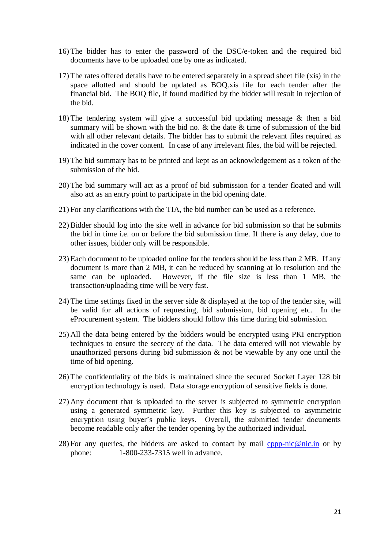- 16) The bidder has to enter the password of the DSC/e-token and the required bid documents have to be uploaded one by one as indicated.
- 17) The rates offered details have to be entered separately in a spread sheet file (xis) in the space allotted and should be updated as BOQ.xis file for each tender after the financial bid. The BOQ file, if found modified by the bidder will result in rejection of the bid.
- 18) The tendering system will give a successful bid updating message & then a bid summary will be shown with the bid no.  $\&$  the date  $\&$  time of submission of the bid with all other relevant details. The bidder has to submit the relevant files required as indicated in the cover content. In case of any irrelevant files, the bid will be rejected.
- 19) The bid summary has to be printed and kept as an acknowledgement as a token of the submission of the bid.
- 20) The bid summary will act as a proof of bid submission for a tender floated and will also act as an entry point to participate in the bid opening date.
- 21) For any clarifications with the TIA, the bid number can be used as a reference.
- 22) Bidder should log into the site well in advance for bid submission so that he submits the bid in time i.e. on or before the bid submission time. If there is any delay, due to other issues, bidder only will be responsible.
- 23) Each document to be uploaded online for the tenders should be less than 2 MB. If any document is more than 2 MB, it can be reduced by scanning at lo resolution and the same can be uploaded. However, if the file size is less than 1 MB, the transaction/uploading time will be very fast.
- 24) The time settings fixed in the server side & displayed at the top of the tender site, will be valid for all actions of requesting, bid submission, bid opening etc. In the eProcurement system. The bidders should follow this time during bid submission.
- 25) All the data being entered by the bidders would be encrypted using PKI encryption techniques to ensure the secrecy of the data. The data entered will not viewable by unauthorized persons during bid submission & not be viewable by any one until the time of bid opening.
- 26) The confidentiality of the bids is maintained since the secured Socket Layer 128 bit encryption technology is used. Data storage encryption of sensitive fields is done.
- 27) Any document that is uploaded to the server is subjected to symmetric encryption using a generated symmetric key. Further this key is subjected to asymmetric encryption using buyer's public keys. Overall, the submitted tender documents become readable only after the tender opening by the authorized individual.
- 28) For any queries, the bidders are asked to contact by mail [cppp-nic@nic.in](mailto:cppp-nic@nic.in) or by phone: 1-800-233-7315 well in advance.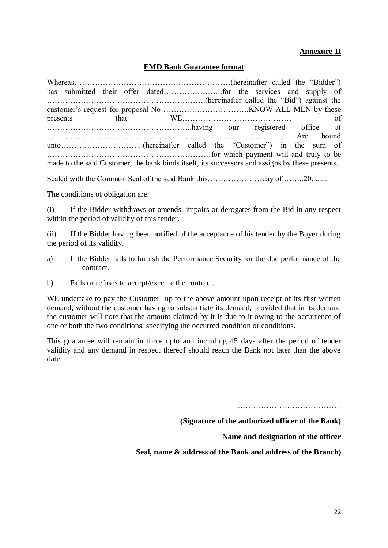### **Annexure-II**

### **EMD Bank Guarantee format**

| made to the said Customer, the bank binds itself, its successors and assigns by these presents. |  |  |  |  |
|-------------------------------------------------------------------------------------------------|--|--|--|--|

Sealed with the Common Seal of the said Bank this…………………day of ………20………

The conditions of obligation are:

(i) If the Bidder withdraws or amends, impairs or derogates from the Bid in any respect within the period of validity of this tender.

(ii) If the Bidder having been notified of the acceptance of his tender by the Buyer during the period of its validity.

- a) If the Bidder fails to furnish the Performance Security for the due performance of the contract.
- b) Fails or refuses to accept/execute the contract.

WE undertake to pay the Customer up to the above amount upon receipt of its first written demand, without the customer having to substantiate its demand, provided that in its demand the customer will note that the amount claimed by it is due to it owing to the occurrence of one or both the two conditions, specifying the occurred condition or conditions.

This guarantee will remain in force upto and including 45 days after the period of tender validity and any demand in respect thereof should reach the Bank not later than the above date.

………………………………….

**(Signature of the authorized officer of the Bank)**

**Name and designation of the officer**

**Seal, name & address of the Bank and address of the Branch)**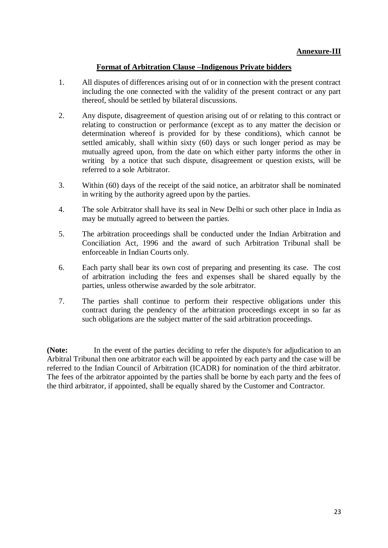### **Format of Arbitration Clause –Indigenous Private bidders**

- 1. All disputes of differences arising out of or in connection with the present contract including the one connected with the validity of the present contract or any part thereof, should be settled by bilateral discussions.
- 2. Any dispute, disagreement of question arising out of or relating to this contract or relating to construction or performance (except as to any matter the decision or determination whereof is provided for by these conditions), which cannot be settled amicably, shall within sixty (60) days or such longer period as may be mutually agreed upon, from the date on which either party informs the other in writing by a notice that such dispute, disagreement or question exists, will be referred to a sole Arbitrator.
- 3. Within (60) days of the receipt of the said notice, an arbitrator shall be nominated in writing by the authority agreed upon by the parties.
- 4. The sole Arbitrator shall have its seal in New Delhi or such other place in India as may be mutually agreed to between the parties.
- 5. The arbitration proceedings shall be conducted under the Indian Arbitration and Conciliation Act, 1996 and the award of such Arbitration Tribunal shall be enforceable in Indian Courts only.
- 6. Each party shall bear its own cost of preparing and presenting its case. The cost of arbitration including the fees and expenses shall be shared equally by the parties, unless otherwise awarded by the sole arbitrator.
- 7. The parties shall continue to perform their respective obligations under this contract during the pendency of the arbitration proceedings except in so far as such obligations are the subject matter of the said arbitration proceedings.

**(Note:** In the event of the parties deciding to refer the dispute/s for adjudication to an Arbitral Tribunal then one arbitrator each will be appointed by each party and the case will be referred to the Indian Council of Arbitration (ICADR) for nomination of the third arbitrator. The fees of the arbitrator appointed by the parties shall be borne by each party and the fees of the third arbitrator, if appointed, shall be equally shared by the Customer and Contractor.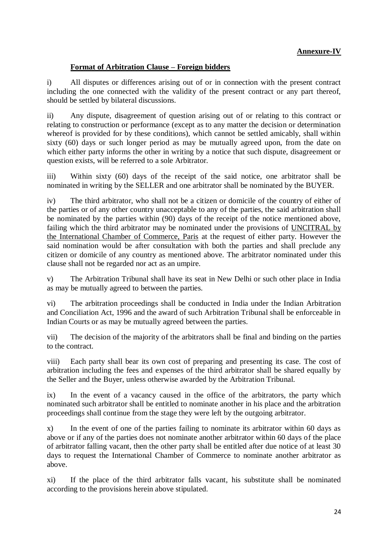### **Annexure-IV**

### **Format of Arbitration Clause – Foreign bidders**

i) All disputes or differences arising out of or in connection with the present contract including the one connected with the validity of the present contract or any part thereof, should be settled by bilateral discussions.

ii) Any dispute, disagreement of question arising out of or relating to this contract or relating to construction or performance (except as to any matter the decision or determination whereof is provided for by these conditions), which cannot be settled amicably, shall within sixty (60) days or such longer period as may be mutually agreed upon, from the date on which either party informs the other in writing by a notice that such dispute, disagreement or question exists, will be referred to a sole Arbitrator.

iii) Within sixty (60) days of the receipt of the said notice, one arbitrator shall be nominated in writing by the SELLER and one arbitrator shall be nominated by the BUYER.

iv) The third arbitrator, who shall not be a citizen or domicile of the country of either of the parties or of any other country unacceptable to any of the parties, the said arbitration shall be nominated by the parties within (90) days of the receipt of the notice mentioned above, failing which the third arbitrator may be nominated under the provisions of UNCITRAL by the International Chamber of Commerce, Paris at the request of either party. However the said nomination would be after consultation with both the parties and shall preclude any citizen or domicile of any country as mentioned above. The arbitrator nominated under this clause shall not be regarded nor act as an umpire.

v) The Arbitration Tribunal shall have its seat in New Delhi or such other place in India as may be mutually agreed to between the parties.

vi) The arbitration proceedings shall be conducted in India under the Indian Arbitration and Conciliation Act, 1996 and the award of such Arbitration Tribunal shall be enforceable in Indian Courts or as may be mutually agreed between the parties.

vii) The decision of the majority of the arbitrators shall be final and binding on the parties to the contract.

viii) Each party shall bear its own cost of preparing and presenting its case. The cost of arbitration including the fees and expenses of the third arbitrator shall be shared equally by the Seller and the Buyer, unless otherwise awarded by the Arbitration Tribunal.

ix) In the event of a vacancy caused in the office of the arbitrators, the party which nominated such arbitrator shall be entitled to nominate another in his place and the arbitration proceedings shall continue from the stage they were left by the outgoing arbitrator.

x) In the event of one of the parties failing to nominate its arbitrator within 60 days as above or if any of the parties does not nominate another arbitrator within 60 days of the place of arbitrator falling vacant, then the other party shall be entitled after due notice of at least 30 days to request the International Chamber of Commerce to nominate another arbitrator as above.

xi) If the place of the third arbitrator falls vacant, his substitute shall be nominated according to the provisions herein above stipulated.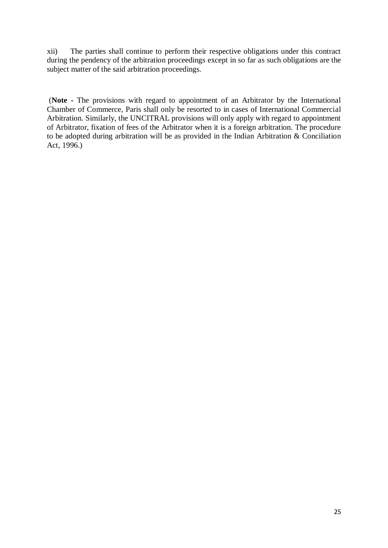xii) The parties shall continue to perform their respective obligations under this contract during the pendency of the arbitration proceedings except in so far as such obligations are the subject matter of the said arbitration proceedings.

(**Note -** The provisions with regard to appointment of an Arbitrator by the International Chamber of Commerce, Paris shall only be resorted to in cases of International Commercial Arbitration. Similarly, the UNCITRAL provisions will only apply with regard to appointment of Arbitrator, fixation of fees of the Arbitrator when it is a foreign arbitration. The procedure to be adopted during arbitration will be as provided in the Indian Arbitration & Conciliation Act, 1996.)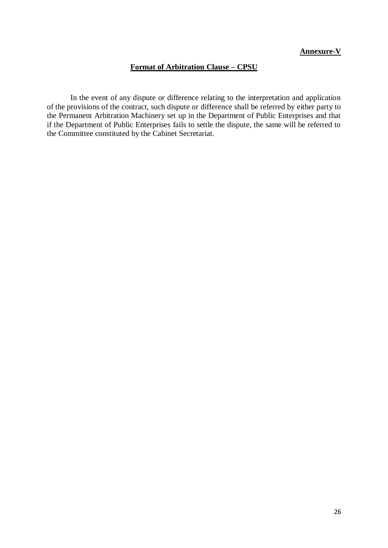### **Annexure-V**

### **Format of Arbitration Clause – CPSU**

In the event of any dispute or difference relating to the interpretation and application of the provisions of the contract, such dispute or difference shall be referred by either party to the Permanent Arbitration Machinery set up in the Department of Public Enterprises and that if the Department of Public Enterprises fails to settle the dispute, the same will be referred to the Committee constituted by the Cabinet Secretariat.